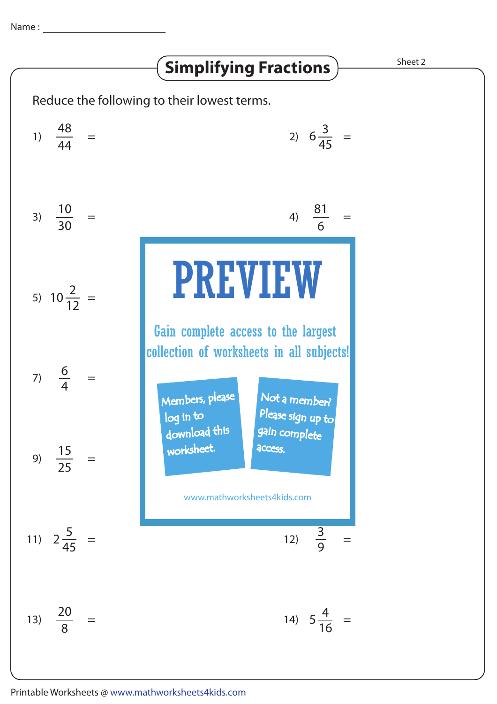